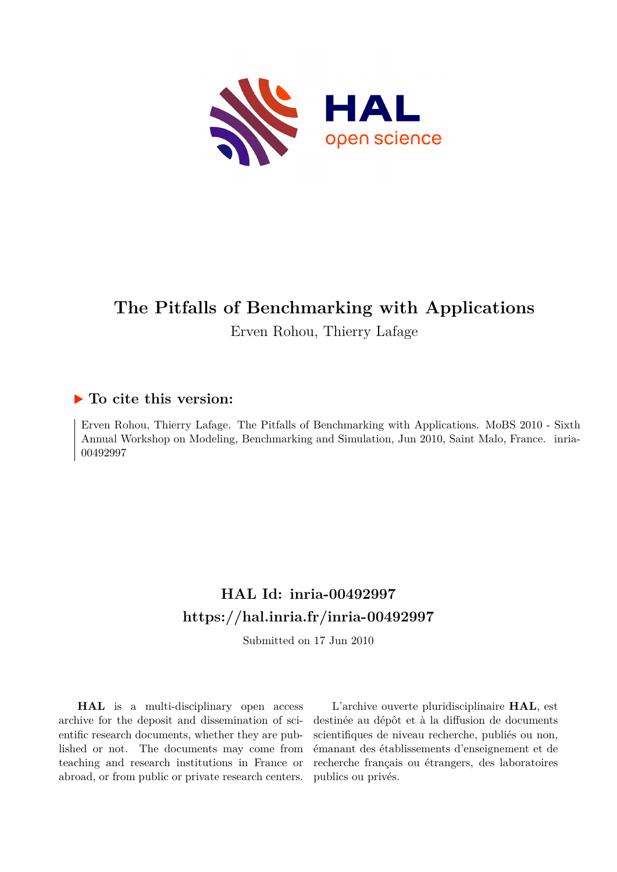

## **The Pitfalls of Benchmarking with Applications**

Erven Rohou, Thierry Lafage

### **To cite this version:**

Erven Rohou, Thierry Lafage. The Pitfalls of Benchmarking with Applications. MoBS 2010 - Sixth Annual Workshop on Modeling, Benchmarking and Simulation, Jun 2010, Saint Malo, France. inria-00492997ff

## **HAL Id: inria-00492997 <https://hal.inria.fr/inria-00492997>**

Submitted on 17 Jun 2010

**HAL** is a multi-disciplinary open access archive for the deposit and dissemination of scientific research documents, whether they are published or not. The documents may come from teaching and research institutions in France or abroad, or from public or private research centers.

L'archive ouverte pluridisciplinaire **HAL**, est destinée au dépôt et à la diffusion de documents scientifiques de niveau recherche, publiés ou non, émanant des établissements d'enseignement et de recherche français ou étrangers, des laboratoires publics ou privés.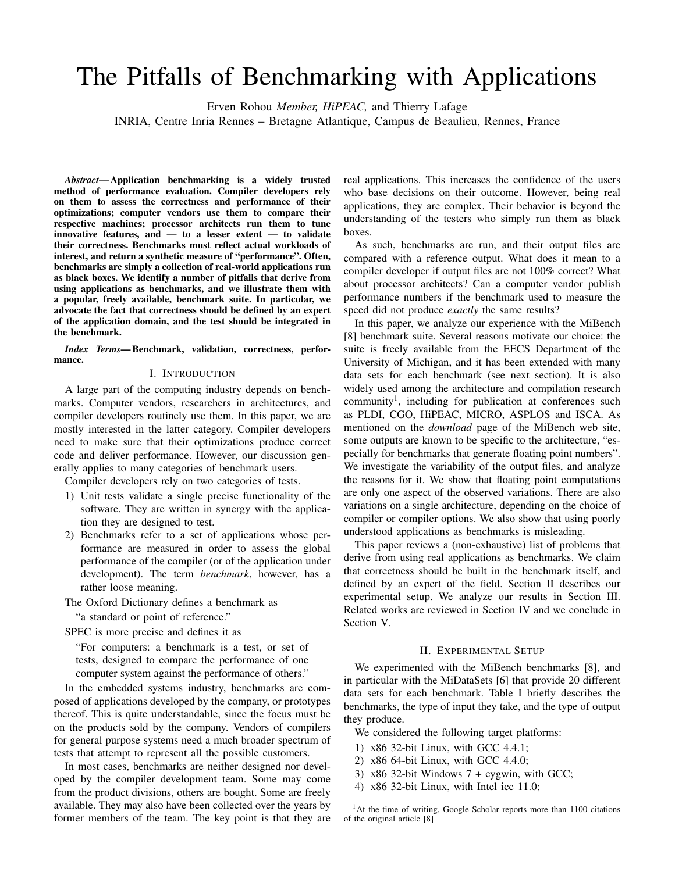# The Pitfalls of Benchmarking with Applications

Erven Rohou *Member, HiPEAC,* and Thierry Lafage

INRIA, Centre Inria Rennes – Bretagne Atlantique, Campus de Beaulieu, Rennes, France

*Abstract*— Application benchmarking is a widely trusted method of performance evaluation. Compiler developers rely on them to assess the correctness and performance of their optimizations; computer vendors use them to compare their respective machines; processor architects run them to tune innovative features, and — to a lesser extent — to validate their correctness. Benchmarks must reflect actual workloads of interest, and return a synthetic measure of "performance". Often, benchmarks are simply a collection of real-world applications run as black boxes. We identify a number of pitfalls that derive from using applications as benchmarks, and we illustrate them with a popular, freely available, benchmark suite. In particular, we advocate the fact that correctness should be defined by an expert of the application domain, and the test should be integrated in the benchmark.

*Index Terms*— Benchmark, validation, correctness, performance.

#### I. INTRODUCTION

A large part of the computing industry depends on benchmarks. Computer vendors, researchers in architectures, and compiler developers routinely use them. In this paper, we are mostly interested in the latter category. Compiler developers need to make sure that their optimizations produce correct code and deliver performance. However, our discussion generally applies to many categories of benchmark users.

Compiler developers rely on two categories of tests.

- 1) Unit tests validate a single precise functionality of the software. They are written in synergy with the application they are designed to test.
- 2) Benchmarks refer to a set of applications whose performance are measured in order to assess the global performance of the compiler (or of the application under development). The term *benchmark*, however, has a rather loose meaning.
- The Oxford Dictionary defines a benchmark as

"a standard or point of reference."

SPEC is more precise and defines it as "For computers: a benchmark is a test, or set of tests, designed to compare the performance of one

computer system against the performance of others."

In the embedded systems industry, benchmarks are composed of applications developed by the company, or prototypes thereof. This is quite understandable, since the focus must be on the products sold by the company. Vendors of compilers for general purpose systems need a much broader spectrum of tests that attempt to represent all the possible customers.

In most cases, benchmarks are neither designed nor developed by the compiler development team. Some may come from the product divisions, others are bought. Some are freely available. They may also have been collected over the years by former members of the team. The key point is that they are real applications. This increases the confidence of the users who base decisions on their outcome. However, being real applications, they are complex. Their behavior is beyond the understanding of the testers who simply run them as black boxes.

As such, benchmarks are run, and their output files are compared with a reference output. What does it mean to a compiler developer if output files are not 100% correct? What about processor architects? Can a computer vendor publish performance numbers if the benchmark used to measure the speed did not produce *exactly* the same results?

In this paper, we analyze our experience with the MiBench [8] benchmark suite. Several reasons motivate our choice: the suite is freely available from the EECS Department of the University of Michigan, and it has been extended with many data sets for each benchmark (see next section). It is also widely used among the architecture and compilation research community<sup>1</sup>, including for publication at conferences such as PLDI, CGO, HiPEAC, MICRO, ASPLOS and ISCA. As mentioned on the *download* page of the MiBench web site, some outputs are known to be specific to the architecture, "especially for benchmarks that generate floating point numbers". We investigate the variability of the output files, and analyze the reasons for it. We show that floating point computations are only one aspect of the observed variations. There are also variations on a single architecture, depending on the choice of compiler or compiler options. We also show that using poorly understood applications as benchmarks is misleading.

This paper reviews a (non-exhaustive) list of problems that derive from using real applications as benchmarks. We claim that correctness should be built in the benchmark itself, and defined by an expert of the field. Section II describes our experimental setup. We analyze our results in Section III. Related works are reviewed in Section IV and we conclude in Section V.

#### II. EXPERIMENTAL SETUP

We experimented with the MiBench benchmarks [8], and in particular with the MiDataSets [6] that provide 20 different data sets for each benchmark. Table I briefly describes the benchmarks, the type of input they take, and the type of output they produce.

We considered the following target platforms:

- 1) x86 32-bit Linux, with GCC 4.4.1;
- 2) x86 64-bit Linux, with GCC 4.4.0;
- 3) x86 32-bit Windows  $7 + cygwin$ , with GCC;
- 4) x86 32-bit Linux, with Intel icc 11.0;

<sup>&</sup>lt;sup>1</sup>At the time of writing, Google Scholar reports more than 1100 citations of the original article [8]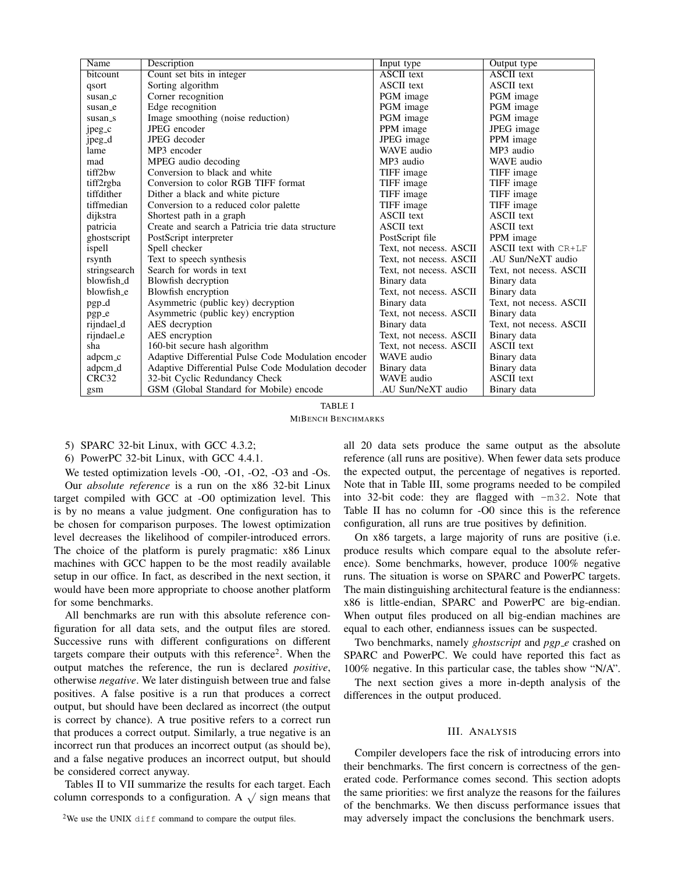| Name              | Description                                         | Input type              | Output type             |
|-------------------|-----------------------------------------------------|-------------------------|-------------------------|
| bitcount          | Count set bits in integer                           | <b>ASCII</b> text       | <b>ASCII</b> text       |
| qsort             | Sorting algorithm                                   | <b>ASCII</b> text       | <b>ASCII</b> text       |
| susan_c           | Corner recognition                                  | PGM image               | PGM image               |
| susan_e           | Edge recognition                                    | PGM image               | PGM image               |
| susan_s           | Image smoothing (noise reduction)                   | PGM image               | PGM image               |
| jpeg_c            | JPEG encoder                                        | PPM image               | JPEG image              |
| jpeg_d            | JPEG decoder                                        | JPEG image              | PPM image               |
| lame              | MP3 encoder                                         | WAVE audio              | MP3 audio               |
| mad               | MPEG audio decoding                                 | MP3 audio               | WAVE audio              |
| tiff2bw           | Conversion to black and white                       | TIFF image              | TIFF image              |
| tiff2rgba         | Conversion to color RGB TIFF format                 | TIFF image              | TIFF image              |
| tiffdither        | Dither a black and white picture                    | TIFF image              | TIFF image              |
| tiffmedian        | Conversion to a reduced color palette               | TIFF image              | TIFF image              |
| dijkstra          | Shortest path in a graph                            | <b>ASCII</b> text       | <b>ASCII</b> text       |
| patricia          | Create and search a Patricia trie data structure    | <b>ASCII</b> text       | <b>ASCII</b> text       |
| ghostscript       | PostScript interpreter                              | PostScript file         | PPM image               |
| ispell            | Spell checker                                       | Text, not necess. ASCII | ASCII text with $CR+LF$ |
| rsynth            | Text to speech synthesis                            | Text, not necess. ASCII | .AU Sun/NeXT audio      |
| stringsearch      | Search for words in text                            | Text, not necess. ASCII | Text, not necess. ASCII |
| blowfish_d        | Blowfish decryption                                 | Binary data             | Binary data             |
| blowfish_e        | Blowfish encryption                                 | Text, not necess. ASCII | Binary data             |
| pgp_d             | Asymmetric (public key) decryption                  | Binary data             | Text, not necess. ASCII |
| pgp_e             | Asymmetric (public key) encryption                  | Text, not necess. ASCII | Binary data             |
| rijndael_d        | AES decryption                                      | Binary data             | Text, not necess. ASCII |
| rijndael_e        | AES encryption                                      | Text, not necess. ASCII | Binary data             |
| sha               | 160-bit secure hash algorithm                       | Text, not necess. ASCII | <b>ASCII</b> text       |
| adpcm_c           | Adaptive Differential Pulse Code Modulation encoder | WAVE audio              | Binary data             |
| adpcm_d           | Adaptive Differential Pulse Code Modulation decoder | Binary data             | Binary data             |
| CRC <sub>32</sub> | 32-bit Cyclic Redundancy Check                      | WAVE audio              | <b>ASCII</b> text       |
| gsm               | GSM (Global Standard for Mobile) encode             | .AU Sun/NeXT audio      | Binary data             |

TABLE I MIBENCH BENCHMARKS

5) SPARC 32-bit Linux, with GCC 4.3.2;

6) PowerPC 32-bit Linux, with GCC 4.4.1.

We tested optimization levels -O0, -O1, -O2, -O3 and -Os. Our *absolute reference* is a run on the x86 32-bit Linux target compiled with GCC at -O0 optimization level. This is by no means a value judgment. One configuration has to be chosen for comparison purposes. The lowest optimization level decreases the likelihood of compiler-introduced errors. The choice of the platform is purely pragmatic: x86 Linux machines with GCC happen to be the most readily available setup in our office. In fact, as described in the next section, it would have been more appropriate to choose another platform for some benchmarks.

All benchmarks are run with this absolute reference configuration for all data sets, and the output files are stored. Successive runs with different configurations on different targets compare their outputs with this reference<sup>2</sup>. When the output matches the reference, the run is declared *positive*, otherwise *negative*. We later distinguish between true and false positives. A false positive is a run that produces a correct output, but should have been declared as incorrect (the output is correct by chance). A true positive refers to a correct run that produces a correct output. Similarly, a true negative is an incorrect run that produces an incorrect output (as should be), and a false negative produces an incorrect output, but should be considered correct anyway.

Tables II to VII summarize the results for each target. Each The ratio of the summarize the results for each target. Each column corresponds to a configuration. A  $\sqrt{\text{sign}}$  means that all 20 data sets produce the same output as the absolute reference (all runs are positive). When fewer data sets produce the expected output, the percentage of negatives is reported. Note that in Table III, some programs needed to be compiled into 32-bit code: they are flagged with -m32. Note that Table II has no column for -O0 since this is the reference configuration, all runs are true positives by definition.

On x86 targets, a large majority of runs are positive (i.e. produce results which compare equal to the absolute reference). Some benchmarks, however, produce 100% negative runs. The situation is worse on SPARC and PowerPC targets. The main distinguishing architectural feature is the endianness: x86 is little-endian, SPARC and PowerPC are big-endian. When output files produced on all big-endian machines are equal to each other, endianness issues can be suspected.

Two benchmarks, namely *ghostscript* and *pgp e* crashed on SPARC and PowerPC. We could have reported this fact as 100% negative. In this particular case, the tables show "N/A".

The next section gives a more in-depth analysis of the differences in the output produced.

#### III. ANALYSIS

Compiler developers face the risk of introducing errors into their benchmarks. The first concern is correctness of the generated code. Performance comes second. This section adopts the same priorities: we first analyze the reasons for the failures of the benchmarks. We then discuss performance issues that may adversely impact the conclusions the benchmark users.

<sup>&</sup>lt;sup>2</sup>We use the UNIX diff command to compare the output files.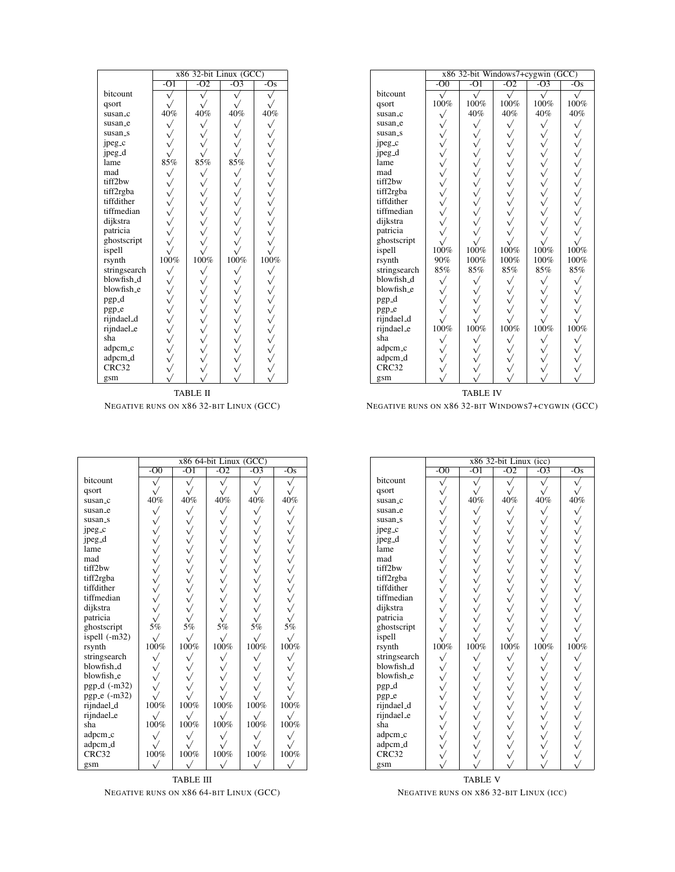|                   | x86 32-bit Linux (GCC)                                                                                                                                                                                                                                                                                                                                                                                   |                                  |                  |                                                                                                                                                                                                                                                                                                                                                                                                                                  |  |  |
|-------------------|----------------------------------------------------------------------------------------------------------------------------------------------------------------------------------------------------------------------------------------------------------------------------------------------------------------------------------------------------------------------------------------------------------|----------------------------------|------------------|----------------------------------------------------------------------------------------------------------------------------------------------------------------------------------------------------------------------------------------------------------------------------------------------------------------------------------------------------------------------------------------------------------------------------------|--|--|
|                   | $-O1$                                                                                                                                                                                                                                                                                                                                                                                                    | $-O2$                            | $-\overline{O3}$ | $-\overline{\mathrm{Os}}$                                                                                                                                                                                                                                                                                                                                                                                                        |  |  |
| bitcount          |                                                                                                                                                                                                                                                                                                                                                                                                          |                                  |                  |                                                                                                                                                                                                                                                                                                                                                                                                                                  |  |  |
| qsort             |                                                                                                                                                                                                                                                                                                                                                                                                          |                                  |                  |                                                                                                                                                                                                                                                                                                                                                                                                                                  |  |  |
| susan_c           |                                                                                                                                                                                                                                                                                                                                                                                                          |                                  | 40%              |                                                                                                                                                                                                                                                                                                                                                                                                                                  |  |  |
| susan_e           |                                                                                                                                                                                                                                                                                                                                                                                                          | $\frac{\sqrt{40\%}}{\sqrt{200}}$ |                  |                                                                                                                                                                                                                                                                                                                                                                                                                                  |  |  |
| susan_s           |                                                                                                                                                                                                                                                                                                                                                                                                          |                                  |                  |                                                                                                                                                                                                                                                                                                                                                                                                                                  |  |  |
| jpeg_c            |                                                                                                                                                                                                                                                                                                                                                                                                          |                                  |                  |                                                                                                                                                                                                                                                                                                                                                                                                                                  |  |  |
| jpeg_d            |                                                                                                                                                                                                                                                                                                                                                                                                          |                                  |                  |                                                                                                                                                                                                                                                                                                                                                                                                                                  |  |  |
| lame              |                                                                                                                                                                                                                                                                                                                                                                                                          |                                  |                  |                                                                                                                                                                                                                                                                                                                                                                                                                                  |  |  |
| mad               | $\begin{matrix} \sqrt[3]{3} & \sqrt[3]{3} & \sqrt[3]{3} & \sqrt[3]{3} & \sqrt[3]{3} & \sqrt[3]{3} & \sqrt[3]{3} & \sqrt[3]{3} & \sqrt[3]{3} & \sqrt[3]{3} & \sqrt[3]{3} & \sqrt[3]{3} & \sqrt[3]{3} & \sqrt[3]{3} & \sqrt[3]{3} & \sqrt[3]{3} & \sqrt[3]{3} & \sqrt[3]{3} & \sqrt[3]{3} & \sqrt[3]{3} & \sqrt[3]{3} & \sqrt[3]{3} & \sqrt[3]{3} & \sqrt[3]{3} & \sqrt[3]{3} & \sqrt[3]{3} & \sqrt[3]{3}$ |                                  |                  | $40\%$                                                                                                                                                                                                                                                                                                                                                                                                                           |  |  |
| tiff2bw           |                                                                                                                                                                                                                                                                                                                                                                                                          |                                  |                  |                                                                                                                                                                                                                                                                                                                                                                                                                                  |  |  |
| tiff2rgba         |                                                                                                                                                                                                                                                                                                                                                                                                          |                                  |                  |                                                                                                                                                                                                                                                                                                                                                                                                                                  |  |  |
| tiffdither        |                                                                                                                                                                                                                                                                                                                                                                                                          |                                  |                  |                                                                                                                                                                                                                                                                                                                                                                                                                                  |  |  |
| tiffmedian        |                                                                                                                                                                                                                                                                                                                                                                                                          |                                  |                  |                                                                                                                                                                                                                                                                                                                                                                                                                                  |  |  |
| dijkstra          |                                                                                                                                                                                                                                                                                                                                                                                                          |                                  |                  |                                                                                                                                                                                                                                                                                                                                                                                                                                  |  |  |
| patricia          |                                                                                                                                                                                                                                                                                                                                                                                                          |                                  |                  |                                                                                                                                                                                                                                                                                                                                                                                                                                  |  |  |
| ghostscript       |                                                                                                                                                                                                                                                                                                                                                                                                          |                                  |                  |                                                                                                                                                                                                                                                                                                                                                                                                                                  |  |  |
| ispell            |                                                                                                                                                                                                                                                                                                                                                                                                          |                                  |                  |                                                                                                                                                                                                                                                                                                                                                                                                                                  |  |  |
| rsynth            |                                                                                                                                                                                                                                                                                                                                                                                                          |                                  |                  |                                                                                                                                                                                                                                                                                                                                                                                                                                  |  |  |
| stringsearch      |                                                                                                                                                                                                                                                                                                                                                                                                          |                                  |                  |                                                                                                                                                                                                                                                                                                                                                                                                                                  |  |  |
| blowfish_d        |                                                                                                                                                                                                                                                                                                                                                                                                          |                                  |                  |                                                                                                                                                                                                                                                                                                                                                                                                                                  |  |  |
| blowfish_e        |                                                                                                                                                                                                                                                                                                                                                                                                          |                                  |                  |                                                                                                                                                                                                                                                                                                                                                                                                                                  |  |  |
| pgp <sub>-d</sub> |                                                                                                                                                                                                                                                                                                                                                                                                          |                                  |                  |                                                                                                                                                                                                                                                                                                                                                                                                                                  |  |  |
| pgp_e             |                                                                                                                                                                                                                                                                                                                                                                                                          |                                  |                  |                                                                                                                                                                                                                                                                                                                                                                                                                                  |  |  |
| rijndael_d        |                                                                                                                                                                                                                                                                                                                                                                                                          |                                  |                  |                                                                                                                                                                                                                                                                                                                                                                                                                                  |  |  |
| rijndael_e        |                                                                                                                                                                                                                                                                                                                                                                                                          |                                  |                  | $\begin{array}{c}\n 100\% \\  \sqrt{100}\% \\  \sqrt{100}\% \\  \sqrt{100}\% \\  \sqrt{100}\% \\  \sqrt{100}\% \\  \sqrt{100}\% \\  \sqrt{100}\% \\  \sqrt{100}\% \\  \sqrt{100}\% \\  \sqrt{100}\% \\  \sqrt{100}\% \\  \sqrt{100}\% \\  \sqrt{100}\% \\  \sqrt{100}\% \\  \sqrt{100}\% \\  \sqrt{100}\% \\  \sqrt{100}\% \\  \sqrt{100}\% \\  \sqrt{100}\% \\  \sqrt{100}\% \\  \sqrt{100}\% \\  \sqrt{100}\% \\  \sqrt{100}\$ |  |  |
| sha               |                                                                                                                                                                                                                                                                                                                                                                                                          |                                  |                  |                                                                                                                                                                                                                                                                                                                                                                                                                                  |  |  |
| adpcm_c           |                                                                                                                                                                                                                                                                                                                                                                                                          |                                  |                  |                                                                                                                                                                                                                                                                                                                                                                                                                                  |  |  |
| adpcm_d           |                                                                                                                                                                                                                                                                                                                                                                                                          |                                  |                  |                                                                                                                                                                                                                                                                                                                                                                                                                                  |  |  |
| CRC32             |                                                                                                                                                                                                                                                                                                                                                                                                          |                                  |                  |                                                                                                                                                                                                                                                                                                                                                                                                                                  |  |  |
| gsm               |                                                                                                                                                                                                                                                                                                                                                                                                          |                                  |                  |                                                                                                                                                                                                                                                                                                                                                                                                                                  |  |  |

|                   | x86 32-bit Windows7+cygwin (GCC) |       |                         |                         |                           |  |
|-------------------|----------------------------------|-------|-------------------------|-------------------------|---------------------------|--|
|                   | $-00$                            | $-O1$ | $-O2$                   | $-O3$                   | $-\overline{\mathrm{Os}}$ |  |
| bitcount          |                                  |       |                         |                         |                           |  |
| qsort             | 100%                             | 100%  | 100%                    | 100%                    | 100%                      |  |
| susan_c           |                                  | 40%   | $40\%$                  | 40%                     | 40%                       |  |
| susan_e           |                                  |       | $\sqrt{}$               | $\sqrt{}$               |                           |  |
| susan_s           |                                  |       |                         |                         |                           |  |
| jpeg_c            |                                  |       |                         |                         |                           |  |
| jpeg_d            |                                  |       |                         |                         |                           |  |
| lame              |                                  |       |                         |                         |                           |  |
| mad               |                                  |       |                         |                         |                           |  |
| tiff2bw           |                                  |       |                         |                         |                           |  |
| tiff2rgba         |                                  |       |                         |                         |                           |  |
| tiffdither        |                                  |       |                         |                         |                           |  |
| tiffmedian        |                                  |       |                         |                         |                           |  |
| dijkstra          |                                  |       |                         |                         |                           |  |
| patricia          |                                  |       |                         |                         |                           |  |
| ghostscript       |                                  |       |                         |                         |                           |  |
| ispell            | $\frac{\sqrt{}}{100\%}$          | 100%  | $\frac{\sqrt{}}{100\%}$ | $\frac{\sqrt{}}{100\%}$ | $100\%$                   |  |
| rsynth            | 90%                              | 100%  | $100\%$                 | 100%                    | 100%                      |  |
| stringsearch      | 85%                              | 85%   | 85%                     | 85%                     | $85\%$                    |  |
| blowfish_d        |                                  |       |                         |                         |                           |  |
| blowfish_e        |                                  |       |                         |                         |                           |  |
| pgp <sub>-d</sub> |                                  |       |                         |                         |                           |  |
| pgp_e             |                                  |       |                         |                         |                           |  |
| rijndael_d        |                                  |       |                         |                         |                           |  |
| rijndael_e        | $\stackrel{\rm V}{100\%}$        | 100%  | $\frac{V}{100\%}$       | $\frac{V}{100\%}$       | 100%                      |  |
| sha               |                                  |       |                         |                         |                           |  |
| adpcm_c           |                                  |       |                         |                         |                           |  |
| adpcm_d           |                                  |       |                         |                         |                           |  |
| CRC32             |                                  |       |                         |                         |                           |  |
| gsm               |                                  |       |                         |                         |                           |  |

TABLE II NEGATIVE RUNS ON X86 32-BIT LINUX (GCC)

TABLE IV

NEGATIVE RUNS ON X86 32-BIT WINDOWS7+CYGWIN (GCC)

|                | x86 64-bit Linux (GCC) |                         |              |                         |              |  |
|----------------|------------------------|-------------------------|--------------|-------------------------|--------------|--|
|                | $-00$                  | $-01$                   | $-02$        | $-03$                   | $-Os$        |  |
| bitcount       |                        |                         |              |                         |              |  |
| qsort          |                        |                         |              |                         |              |  |
| susan_c        | $40\%$                 | 40%                     | 40%          | 40%                     | 40%          |  |
| susan_e        |                        |                         |              |                         |              |  |
| susan_s        |                        |                         |              |                         |              |  |
| jpeg_c         |                        |                         |              |                         |              |  |
| jpeg_d         |                        |                         |              |                         |              |  |
| lame           |                        |                         |              |                         |              |  |
| mad            |                        |                         |              |                         |              |  |
| tiff2bw        |                        |                         |              |                         |              |  |
| tiff2rgba      |                        |                         |              |                         |              |  |
| tiffdither     |                        |                         |              |                         |              |  |
| tiffmedian     |                        |                         |              |                         |              |  |
| dijkstra       |                        |                         |              |                         |              |  |
| patricia       |                        |                         |              |                         |              |  |
| ghostscript    | 5%                     | 5%                      | 5%           | 5%                      | 5%           |  |
| ispell (-m32)  | $\sqrt{}$              | $\frac{\sqrt{}}{100\%}$ | $\sqrt{}$    | $\frac{\sqrt{}}{100\%}$ |              |  |
| rsynth         | 100%                   |                         | 100%         |                         | 100%         |  |
| stringsearch   |                        |                         |              |                         |              |  |
| blowfish_d     |                        |                         |              |                         |              |  |
| blowfish_e     |                        |                         |              |                         |              |  |
| $pgp_d$ (-m32) |                        |                         |              |                         |              |  |
| pgp_e (-m32)   |                        |                         |              | $100\%$                 |              |  |
| rijndael_d     | 100%                   | 100%                    | 100%         |                         | 100%         |  |
| rijndael_e     | $\sqrt{}$              | $\sqrt{}$               | $\checkmark$ | $\sqrt{}$               | $\checkmark$ |  |
| sha            | $100\%$                | 100%                    | 100%         | 100%                    | 100%         |  |
| adpcm_c        |                        |                         |              |                         |              |  |
| adpcm_d        |                        |                         |              |                         |              |  |
| CRC32          | $100\%$                | 100%                    | 100%         | $100\%$                 | 100%         |  |
| gsm            |                        |                         |              |                         |              |  |

| <b>TABLE III</b>                        |
|-----------------------------------------|
| NEGATIVE RUNS ON X86 64-BIT LINUX (GCC) |

|                   | x86 32-bit Linux (icc)                                        |                         |                              |                              |                                                               |  |  |
|-------------------|---------------------------------------------------------------|-------------------------|------------------------------|------------------------------|---------------------------------------------------------------|--|--|
|                   | $-00$                                                         | $-O1$                   | $-02$                        | $-03$                        | $-Os$                                                         |  |  |
| bitcount          |                                                               |                         |                              |                              |                                                               |  |  |
| qsort             |                                                               |                         |                              |                              |                                                               |  |  |
| susan_c           |                                                               | $\frac{40\%}{\sqrt{ }}$ | $\frac{40\%}{\sqrt{ }}$      |                              | $\frac{40\%}{\sqrt{ }}$                                       |  |  |
| susan_e           |                                                               |                         |                              | $\sqrt{\frac{1}{40\%}}$      |                                                               |  |  |
| susan_s           |                                                               |                         |                              |                              |                                                               |  |  |
| jpeg_c            |                                                               |                         |                              |                              |                                                               |  |  |
| jpeg_d            |                                                               |                         |                              |                              |                                                               |  |  |
| lame              |                                                               |                         |                              |                              |                                                               |  |  |
| mad               |                                                               |                         |                              |                              |                                                               |  |  |
| tiff2bw           |                                                               |                         |                              |                              |                                                               |  |  |
| tiff2rgba         |                                                               |                         |                              |                              |                                                               |  |  |
| tiffdither        |                                                               |                         |                              |                              |                                                               |  |  |
| tiffmedian        |                                                               |                         |                              |                              |                                                               |  |  |
| dijkstra          |                                                               |                         |                              |                              |                                                               |  |  |
| patricia          |                                                               |                         |                              |                              |                                                               |  |  |
| ghostscript       |                                                               |                         |                              |                              |                                                               |  |  |
| ispell            |                                                               | $\frac{\sqrt{}}{100\%}$ |                              | $\frac{\sqrt{100\%}}{100\%}$ |                                                               |  |  |
| rsynth            | $\begin{array}{c}\n\sqrt{100\%} \\ \sqrt{100\%}\n\end{array}$ |                         | $\sqrt{\frac{100\%}{100\%}}$ |                              | $\begin{array}{c}\n\sqrt{100\%} \\ \sqrt{100\%}\n\end{array}$ |  |  |
| stringsearch      |                                                               |                         |                              |                              |                                                               |  |  |
| blowfish_d        |                                                               |                         |                              |                              |                                                               |  |  |
| blowfish_e        |                                                               |                         |                              |                              |                                                               |  |  |
| pgp <sub>-d</sub> |                                                               |                         |                              |                              |                                                               |  |  |
| pgp_e             |                                                               |                         |                              |                              |                                                               |  |  |
| rijndael_d        |                                                               |                         |                              |                              |                                                               |  |  |
| rijndael_e        |                                                               |                         |                              |                              |                                                               |  |  |
| sha               |                                                               |                         |                              |                              |                                                               |  |  |
| adpcm_c           |                                                               |                         |                              |                              |                                                               |  |  |
| adpcm_d           |                                                               |                         |                              |                              |                                                               |  |  |
| CRC32             |                                                               |                         |                              |                              |                                                               |  |  |
| gsm               |                                                               |                         |                              |                              |                                                               |  |  |

TABLE V NEGATIVE RUNS ON X86 32-BIT LINUX (ICC)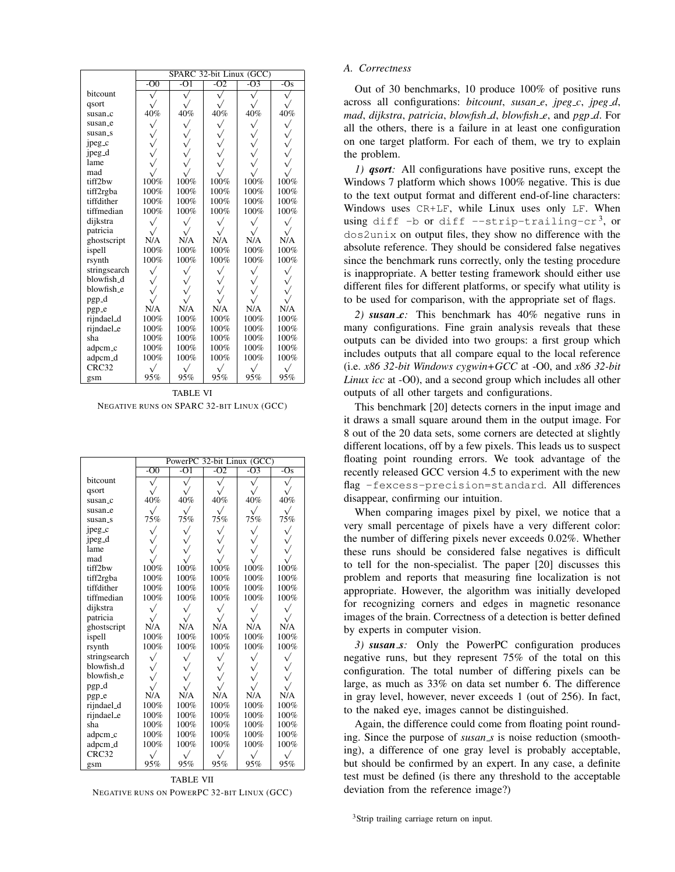|                     | SPARC 32-bit Linux (GCC) |           |           |              |                           |  |
|---------------------|--------------------------|-----------|-----------|--------------|---------------------------|--|
|                     | $-00$                    | $-O1$     | $-02$     | $-O3$        | $-\overline{\mathrm{Os}}$ |  |
| bitcount            |                          |           |           |              |                           |  |
| qsort               |                          |           |           |              |                           |  |
| susan_c             | 40%                      | 40%       | 40%       | 40%          | 40%                       |  |
| susan_e             |                          | $\sqrt{}$ | $\sqrt{}$ | $\checkmark$ | $\checkmark$              |  |
| susan_s             |                          |           |           |              |                           |  |
| jpeg_c              |                          | V<br>V    |           |              |                           |  |
| jpeg <sub>-</sub> d |                          |           |           |              |                           |  |
| lame                |                          |           |           |              |                           |  |
| mad                 |                          |           |           |              |                           |  |
| tiff2bw             | 100%                     | 100%      | 100%      | 100%         | 100%                      |  |
| tiff2rgba           | 100%                     | 100%      | 100%      | 100%         | 100%                      |  |
| tiffdither          | 100%                     | 100%      | 100%      | 100%         | 100%                      |  |
| tiffmedian          | 100%                     | 100%      | 100%      | 100%         | 100%                      |  |
| dijkstra            |                          |           |           |              |                           |  |
| patricia            |                          |           |           |              |                           |  |
| ghostscript         | N/A                      | N/A       | N/A       | N/A          | N/A                       |  |
| ispell              | 100%                     | 100%      | 100%      | 100%         | 100%                      |  |
| rsynth              | 100%                     | 100%      | 100%      | 100%         | 100%                      |  |
| stringsearch        |                          | $\sqrt{}$ |           |              |                           |  |
| blowfish_d          |                          |           |           |              |                           |  |
| blowfish_e          |                          |           |           |              |                           |  |
| pgp <sub>-d</sub>   |                          |           |           |              |                           |  |
| pgp_e               | N/A                      | N/A       | N/A       | N/A          | N/A                       |  |
| rijndael_d          | 100%                     | 100%      | 100%      | 100%         | 100%                      |  |
| rijndael_e          | 100%                     | 100%      | 100%      | 100%         | 100%                      |  |
| sha                 | 100%                     | 100%      | 100%      | 100%         | 100%                      |  |
| adpcm_c             | 100%                     | 100%      | 100%      | 100%         | 100%                      |  |
| adpcm_d             | 100%                     | 100%      | 100%      | 100%         | 100%                      |  |
| CRC32               |                          |           |           |              |                           |  |
| gsm                 | 95%                      | 95%       | 95%       | 95%          | 95%                       |  |

TABLE VI NEGATIVE RUNS ON SPARC 32-BIT LINUX (GCC)

|              |           | PowerPC 32-bit Linux (GCC) |           |           |                  |  |  |
|--------------|-----------|----------------------------|-----------|-----------|------------------|--|--|
|              | $-00$     | $-O1$                      | $-O2$     | $-O3$     | $-\overline{Os}$ |  |  |
| bitcount     |           |                            |           |           |                  |  |  |
| qsort        |           |                            |           |           |                  |  |  |
| susan_c      | 40%       | 40%                        | 40%       | 40%       | 40%              |  |  |
| susan_e      |           |                            |           |           |                  |  |  |
| susan_s      | 75%       | 75%                        | 75%       | 75%       | 75%              |  |  |
| jpeg_c       |           |                            |           |           |                  |  |  |
| jpeg_d       |           |                            |           |           |                  |  |  |
| lame         |           |                            |           |           |                  |  |  |
| mad          |           |                            |           |           |                  |  |  |
| tiff2bw      | 100%      | 100%                       | 100%      | 100%      | 100%             |  |  |
| tiff2rgba    | 100%      | 100%                       | 100%      | 100%      | 100%             |  |  |
| tiffdither   | 100%      | 100%                       | 100%      | 100%      | 100%             |  |  |
| tiffmedian   | 100%      | 100%                       | 100%      | 100%      | 100%             |  |  |
| dijkstra     | $\sqrt{}$ |                            | $\sqrt{}$ | $\sqrt{}$ | $\checkmark$     |  |  |
| patricia     |           |                            |           |           |                  |  |  |
| ghostscript  | N/A       | N/A                        | N/A       | N/A       | N/A              |  |  |
| ispell       | 100%      | 100%                       | 100%      | 100%      | 100%             |  |  |
| rsynth       | 100%      | 100%                       | 100%      | 100%      | 100%             |  |  |
| stringsearch |           |                            |           |           |                  |  |  |
| blowfish_d   |           |                            |           |           |                  |  |  |
| blowfish_e   |           |                            |           |           |                  |  |  |
| pgp_d        |           |                            |           |           |                  |  |  |
| pgp_e        | N/A       | N/A                        | N/A       | N/A       | N/A              |  |  |
| rijndael_d   | 100%      | 100%                       | 100%      | 100%      | 100%             |  |  |
| rijndael_e   | 100%      | 100%                       | 100%      | 100%      | 100%             |  |  |
| sha          | 100%      | 100%                       | 100%      | 100%      | 100%             |  |  |
| adpcm_c      | 100%      | 100%                       | 100%      | 100%      | 100%             |  |  |
| adpcm_d      | 100%      | 100%                       | 100%      | 100%      | 100%             |  |  |
| CRC32        |           |                            |           |           |                  |  |  |
| gsm          | 95%       | 95%                        | 95%       | 95%       | 95%              |  |  |

TABLE VII NEGATIVE RUNS ON POWERPC 32-BIT LINUX (GCC)

#### *A. Correctness*

Out of 30 benchmarks, 10 produce 100% of positive runs across all configurations: *bitcount*, *susan e*, *jpeg c*, *jpeg d*, *mad*, *dijkstra*, *patricia*, *blowfish d*, *blowfish e*, and *pgp d*. For all the others, there is a failure in at least one configuration on one target platform. For each of them, we try to explain the problem.

*1) qsort:* All configurations have positive runs, except the Windows 7 platform which shows 100% negative. This is due to the text output format and different end-of-line characters: Windows uses CR+LF, while Linux uses only LF. When using diff -b or diff --strip-trailing-cr<sup>3</sup>, or dos2unix on output files, they show no difference with the absolute reference. They should be considered false negatives since the benchmark runs correctly, only the testing procedure is inappropriate. A better testing framework should either use different files for different platforms, or specify what utility is to be used for comparison, with the appropriate set of flags.

*2) susan c:* This benchmark has 40% negative runs in many configurations. Fine grain analysis reveals that these outputs can be divided into two groups: a first group which includes outputs that all compare equal to the local reference (i.e. *x86 32-bit Windows cygwin+GCC* at -O0, and *x86 32-bit Linux icc* at -O0), and a second group which includes all other outputs of all other targets and configurations.

This benchmark [20] detects corners in the input image and it draws a small square around them in the output image. For 8 out of the 20 data sets, some corners are detected at slightly different locations, off by a few pixels. This leads us to suspect floating point rounding errors. We took advantage of the recently released GCC version 4.5 to experiment with the new flag -fexcess-precision=standard. All differences disappear, confirming our intuition.

When comparing images pixel by pixel, we notice that a very small percentage of pixels have a very different color: the number of differing pixels never exceeds 0.02%. Whether these runs should be considered false negatives is difficult to tell for the non-specialist. The paper [20] discusses this problem and reports that measuring fine localization is not appropriate. However, the algorithm was initially developed for recognizing corners and edges in magnetic resonance images of the brain. Correctness of a detection is better defined by experts in computer vision.

*3) susan s:* Only the PowerPC configuration produces negative runs, but they represent 75% of the total on this configuration. The total number of differing pixels can be large, as much as 33% on data set number 6. The difference in gray level, however, never exceeds 1 (out of 256). In fact, to the naked eye, images cannot be distinguished.

Again, the difference could come from floating point rounding. Since the purpose of *susan s* is noise reduction (smoothing), a difference of one gray level is probably acceptable, but should be confirmed by an expert. In any case, a definite test must be defined (is there any threshold to the acceptable deviation from the reference image?)

<sup>3</sup>Strip trailing carriage return on input.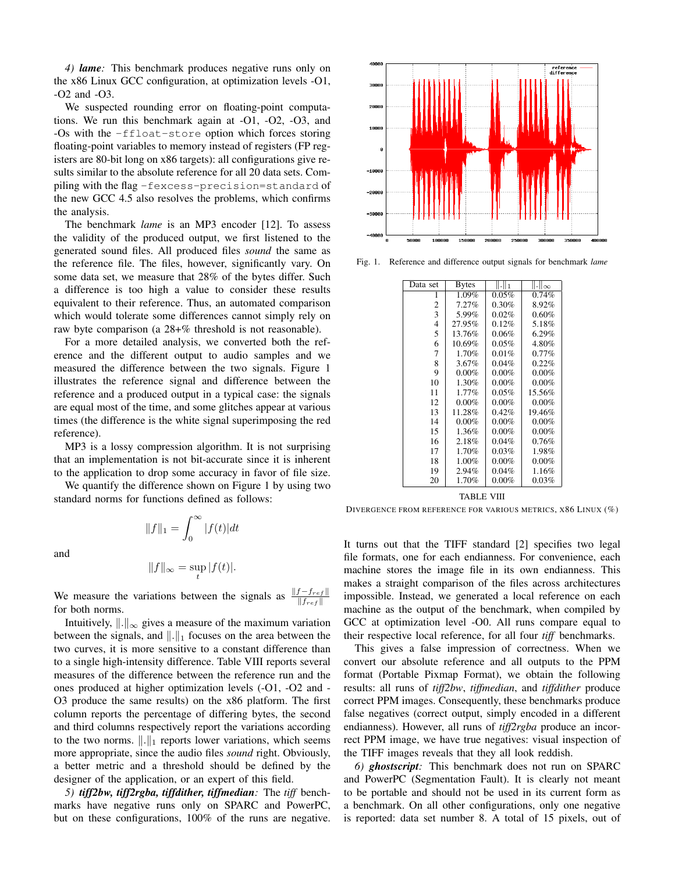*4) lame:* This benchmark produces negative runs only on the x86 Linux GCC configuration, at optimization levels -O1, -O2 and -O3.

We suspected rounding error on floating-point computations. We run this benchmark again at -O1, -O2, -O3, and -Os with the -ffloat-store option which forces storing floating-point variables to memory instead of registers (FP registers are 80-bit long on x86 targets): all configurations give results similar to the absolute reference for all 20 data sets. Compiling with the flag -fexcess-precision=standard of the new GCC 4.5 also resolves the problems, which confirms the analysis.

The benchmark *lame* is an MP3 encoder [12]. To assess the validity of the produced output, we first listened to the generated sound files. All produced files *sound* the same as the reference file. The files, however, significantly vary. On some data set, we measure that 28% of the bytes differ. Such a difference is too high a value to consider these results equivalent to their reference. Thus, an automated comparison which would tolerate some differences cannot simply rely on raw byte comparison (a 28+% threshold is not reasonable).

For a more detailed analysis, we converted both the reference and the different output to audio samples and we measured the difference between the two signals. Figure 1 illustrates the reference signal and difference between the reference and a produced output in a typical case: the signals are equal most of the time, and some glitches appear at various times (the difference is the white signal superimposing the red reference).

MP3 is a lossy compression algorithm. It is not surprising that an implementation is not bit-accurate since it is inherent to the application to drop some accuracy in favor of file size.

We quantify the difference shown on Figure 1 by using two standard norms for functions defined as follows:

 $||f||_1 = \int_0^\infty$ 

and

$$
||f||_{\infty} = \sup_{t} |f(t)|.
$$

0

 $|f(t)|dt$ 

We measure the variations between the signals as  $\frac{\|f-f_{ref}\|}{\|f_{ref}\|}$ for both norms.

Intuitively,  $\Vert . \Vert_{\infty}$  gives a measure of the maximum variation between the signals, and  $\|.\|_1$  focuses on the area between the two curves, it is more sensitive to a constant difference than to a single high-intensity difference. Table VIII reports several measures of the difference between the reference run and the ones produced at higher optimization levels (-O1, -O2 and - O3 produce the same results) on the x86 platform. The first column reports the percentage of differing bytes, the second and third columns respectively report the variations according to the two norms.  $\|\cdot\|_1$  reports lower variations, which seems more appropriate, since the audio files *sound* right. Obviously, a better metric and a threshold should be defined by the designer of the application, or an expert of this field.

*5) tiff2bw, tiff2rgba, tiffdither, tiffmedian:* The *tiff* benchmarks have negative runs only on SPARC and PowerPC, but on these configurations, 100% of the runs are negative.



Fig. 1. Reference and difference output signals for benchmark *lame*

| Data set | <b>Bytes</b> | .    1   | II JI ∞  |
|----------|--------------|----------|----------|
| 1        | $1.09\%$     | 0.05%    | 0.74%    |
| 2        | $7.27\%$     | 0.30%    | 8.92%    |
| 3        | 5.99%        | 0.02%    | 0.60%    |
| 4        | 27.95%       | 0.12%    | 5.18%    |
| 5        | 13.76%       | 0.06%    | 6.29%    |
| 6        | 10.69%       | 0.05%    | 4.80%    |
| 7        | 1.70%        | 0.01%    | $0.77\%$ |
| 8        | 3.67%        | 0.04%    | 0.22%    |
| 9        | $0.00\%$     | $0.00\%$ | $0.00\%$ |
| 10       | 1.30%        | $0.00\%$ | $0.00\%$ |
| 11       | 1.77%        | 0.05%    | 15.56%   |
| 12       | 0.00%        | $0.00\%$ | $0.00\%$ |
| 13       | 11.28%       | 0.42%    | 19.46%   |
| 14       | 0.00%        | 0.00%    | $0.00\%$ |
| 15       | 1.36%        | $0.00\%$ | $0.00\%$ |
| 16       | 2.18%        | 0.04%    | 0.76%    |
| 17       | 1.70%        | 0.03%    | 1.98%    |
| 18       | 1.00%        | $0.00\%$ | $0.00\%$ |
| 19       | 2.94%        | 0.04%    | 1.16%    |
| 20       | 1.70%        | $0.00\%$ | $0.03\%$ |

TABLE VIII

DIVERGENCE FROM REFERENCE FOR VARIOUS METRICS, X86 LINUX (%)

It turns out that the TIFF standard [2] specifies two legal file formats, one for each endianness. For convenience, each machine stores the image file in its own endianness. This makes a straight comparison of the files across architectures impossible. Instead, we generated a local reference on each machine as the output of the benchmark, when compiled by GCC at optimization level -O0. All runs compare equal to their respective local reference, for all four *tiff* benchmarks.

This gives a false impression of correctness. When we convert our absolute reference and all outputs to the PPM format (Portable Pixmap Format), we obtain the following results: all runs of *tiff2bw*, *tiffmedian*, and *tiffdither* produce correct PPM images. Consequently, these benchmarks produce false negatives (correct output, simply encoded in a different endianness). However, all runs of *tiff2rgba* produce an incorrect PPM image, we have true negatives: visual inspection of the TIFF images reveals that they all look reddish.

*6) ghostscript:* This benchmark does not run on SPARC and PowerPC (Segmentation Fault). It is clearly not meant to be portable and should not be used in its current form as a benchmark. On all other configurations, only one negative is reported: data set number 8. A total of 15 pixels, out of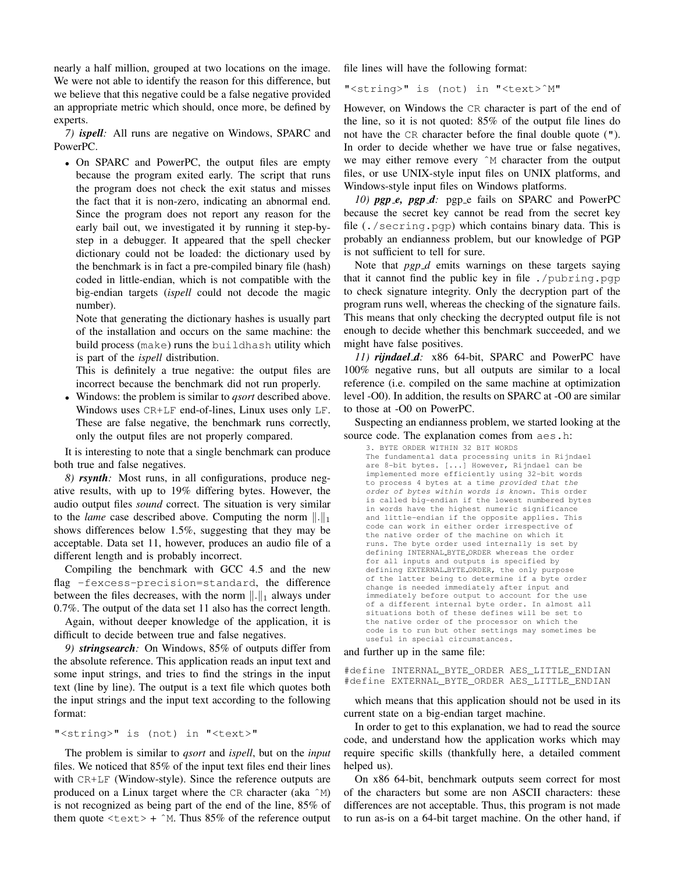nearly a half million, grouped at two locations on the image. We were not able to identify the reason for this difference, but we believe that this negative could be a false negative provided an appropriate metric which should, once more, be defined by experts.

*7) ispell:* All runs are negative on Windows, SPARC and PowerPC.

• On SPARC and PowerPC, the output files are empty because the program exited early. The script that runs the program does not check the exit status and misses the fact that it is non-zero, indicating an abnormal end. Since the program does not report any reason for the early bail out, we investigated it by running it step-bystep in a debugger. It appeared that the spell checker dictionary could not be loaded: the dictionary used by the benchmark is in fact a pre-compiled binary file (hash) coded in little-endian, which is not compatible with the big-endian targets (*ispell* could not decode the magic number).

Note that generating the dictionary hashes is usually part of the installation and occurs on the same machine: the build process (make) runs the buildhash utility which is part of the *ispell* distribution.

This is definitely a true negative: the output files are incorrect because the benchmark did not run properly.

• Windows: the problem is similar to *qsort* described above. Windows uses CR+LF end-of-lines, Linux uses only LF. These are false negative, the benchmark runs correctly, only the output files are not properly compared.

It is interesting to note that a single benchmark can produce both true and false negatives.

*8) rsynth:* Most runs, in all configurations, produce negative results, with up to 19% differing bytes. However, the audio output files *sound* correct. The situation is very similar to the *lame* case described above. Computing the norm  $\|.\|_1$ shows differences below 1.5%, suggesting that they may be acceptable. Data set 11, however, produces an audio file of a different length and is probably incorrect.

Compiling the benchmark with GCC 4.5 and the new flag -fexcess-precision=standard, the difference between the files decreases, with the norm  $\|.\|_1$  always under 0.7%. The output of the data set 11 also has the correct length.

Again, without deeper knowledge of the application, it is difficult to decide between true and false negatives.

*9) stringsearch:* On Windows, 85% of outputs differ from the absolute reference. This application reads an input text and some input strings, and tries to find the strings in the input text (line by line). The output is a text file which quotes both the input strings and the input text according to the following format:

#### "<string>" is (not) in "<text>"

The problem is similar to *qsort* and *ispell*, but on the *input* files. We noticed that 85% of the input text files end their lines with CR+LF (Window-style). Since the reference outputs are produced on a Linux target where the CR character (aka ˆM) is not recognized as being part of the end of the line, 85% of them quote  $\langle \text{text} \rangle$  + ^M. Thus 85% of the reference output file lines will have the following format:

"<string>" is (not) in "<text>ˆM"

However, on Windows the CR character is part of the end of the line, so it is not quoted: 85% of the output file lines do not have the CR character before the final double quote ("). In order to decide whether we have true or false negatives, we may either remove every  $\hat{M}$  character from the output files, or use UNIX-style input files on UNIX platforms, and Windows-style input files on Windows platforms.

*10) pgp e, pgp d:* pgp e fails on SPARC and PowerPC because the secret key cannot be read from the secret key file (./secring.pgp) which contains binary data. This is probably an endianness problem, but our knowledge of PGP is not sufficient to tell for sure.

Note that *pgp\_d* emits warnings on these targets saying that it cannot find the public key in file ./pubring.pgp to check signature integrity. Only the decryption part of the program runs well, whereas the checking of the signature fails. This means that only checking the decrypted output file is not enough to decide whether this benchmark succeeded, and we might have false positives.

*11) rijndael d:* x86 64-bit, SPARC and PowerPC have 100% negative runs, but all outputs are similar to a local reference (i.e. compiled on the same machine at optimization level -O0). In addition, the results on SPARC at -O0 are similar to those at -O0 on PowerPC.

Suspecting an endianness problem, we started looking at the source code. The explanation comes from aes.h:

```
3. BYTE ORDER WITHIN 32 BIT WORDS
The fundamental data processing units in Rijndael
are 8-bit bytes. [...] However, Rijndael can be
implemented more efficiently using 32-bit words
to process 4 bytes at a time provided that the
order of bytes within words is known. This order
is called big-endian if the lowest numbered bytes
in words have the highest numeric significance
and little-endian if the opposite applies. This
code can work in either order irrespective of
the native order of the machine on which it
runs. The byte order used internally is set by
defining INTERNAL BYTE ORDER whereas the order
for all inputs and outputs is specified by
defining EXTERNAL BYTE ORDER, the only purpose
of the latter being to determine if a byte order
change is needed immediately after input and
immediately before output to account for the use
of a different internal byte order. In almost all
situations both of these defines will be set to
the native order of the processor on which the
code is to run but other settings may sometimes be
useful in special circumstances.
```
and further up in the same file:

#define INTERNAL\_BYTE\_ORDER AES\_LITTLE\_ENDIAN #define EXTERNAL\_BYTE\_ORDER AES\_LITTLE\_ENDIAN

which means that this application should not be used in its current state on a big-endian target machine.

In order to get to this explanation, we had to read the source code, and understand how the application works which may require specific skills (thankfully here, a detailed comment helped us).

On x86 64-bit, benchmark outputs seem correct for most of the characters but some are non ASCII characters: these differences are not acceptable. Thus, this program is not made to run as-is on a 64-bit target machine. On the other hand, if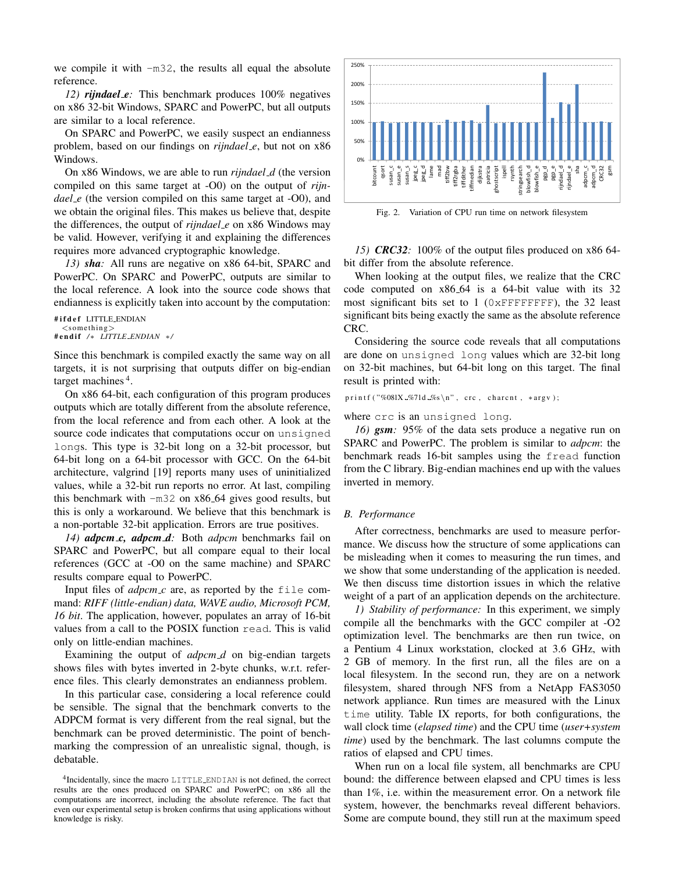we compile it with -m32, the results all equal the absolute reference.

*12) rijndael e:* This benchmark produces 100% negatives on x86 32-bit Windows, SPARC and PowerPC, but all outputs are similar to a local reference.

On SPARC and PowerPC, we easily suspect an endianness problem, based on our findings on *rijndael e*, but not on x86 Windows.

On x86 Windows, we are able to run *rijndael d* (the version compiled on this same target at -O0) on the output of *rijndael\_e* (the version compiled on this same target at -O0), and we obtain the original files. This makes us believe that, despite the differences, the output of *rijndael e* on x86 Windows may be valid. However, verifying it and explaining the differences requires more advanced cryptographic knowledge.

*13) sha:* All runs are negative on x86 64-bit, SPARC and PowerPC. On SPARC and PowerPC, outputs are similar to the local reference. A look into the source code shows that endianness is explicitly taken into account by the computation:

```
#ifdef LITTLE_ENDIAN
  <something># e n di f /∗ LITTLE ENDIAN ∗/
```
Since this benchmark is compiled exactly the same way on all targets, it is not surprising that outputs differ on big-endian target machines<sup>4</sup>.

On x86 64-bit, each configuration of this program produces outputs which are totally different from the absolute reference, from the local reference and from each other. A look at the source code indicates that computations occur on unsigned longs. This type is 32-bit long on a 32-bit processor, but 64-bit long on a 64-bit processor with GCC. On the 64-bit architecture, valgrind [19] reports many uses of uninitialized values, while a 32-bit run reports no error. At last, compiling this benchmark with  $-m32$  on  $x86-64$  gives good results, but this is only a workaround. We believe that this benchmark is a non-portable 32-bit application. Errors are true positives.

*14) adpcm c, adpcm d:* Both *adpcm* benchmarks fail on SPARC and PowerPC, but all compare equal to their local references (GCC at -O0 on the same machine) and SPARC results compare equal to PowerPC.

Input files of  $adpcm_c$  are, as reported by the  $file$  command: *RIFF (little-endian) data, WAVE audio, Microsoft PCM, 16 bit*. The application, however, populates an array of 16-bit values from a call to the POSIX function read. This is valid only on little-endian machines.

Examining the output of *adpcm\_d* on big-endian targets shows files with bytes inverted in 2-byte chunks, w.r.t. reference files. This clearly demonstrates an endianness problem.

In this particular case, considering a local reference could be sensible. The signal that the benchmark converts to the ADPCM format is very different from the real signal, but the benchmark can be proved deterministic. The point of benchmarking the compression of an unrealistic signal, though, is debatable.



Fig. 2. Variation of CPU run time on network filesystem

*15) CRC32:* 100% of the output files produced on x86 64 bit differ from the absolute reference.

When looking at the output files, we realize that the CRC code computed on x86 64 is a 64-bit value with its 32 most significant bits set to 1 (0xFFFFFFFF), the 32 least significant bits being exactly the same as the absolute reference CRC.

Considering the source code reveals that all computations are done on unsigned long values which are 32-bit long on 32-bit machines, but 64-bit long on this target. The final result is printed with:

printf ("%08lX\_%7ld\_%s\n", crc, charcnt, \*argv);

#### where crc is an unsigned long.

*16) gsm:* 95% of the data sets produce a negative run on SPARC and PowerPC. The problem is similar to *adpcm*: the benchmark reads 16-bit samples using the fread function from the C library. Big-endian machines end up with the values inverted in memory.

#### *B. Performance*

After correctness, benchmarks are used to measure performance. We discuss how the structure of some applications can be misleading when it comes to measuring the run times, and we show that some understanding of the application is needed. We then discuss time distortion issues in which the relative weight of a part of an application depends on the architecture.

*1) Stability of performance:* In this experiment, we simply compile all the benchmarks with the GCC compiler at -O2 optimization level. The benchmarks are then run twice, on a Pentium 4 Linux workstation, clocked at 3.6 GHz, with 2 GB of memory. In the first run, all the files are on a local filesystem. In the second run, they are on a network filesystem, shared through NFS from a NetApp FAS3050 network appliance. Run times are measured with the Linux time utility. Table IX reports, for both configurations, the wall clock time (*elapsed time*) and the CPU time (*user+system time*) used by the benchmark. The last columns compute the ratios of elapsed and CPU times.

When run on a local file system, all benchmarks are CPU bound: the difference between elapsed and CPU times is less than 1%, i.e. within the measurement error. On a network file system, however, the benchmarks reveal different behaviors. Some are compute bound, they still run at the maximum speed

<sup>4</sup> Incidentally, since the macro LITTLE ENDIAN is not defined, the correct results are the ones produced on SPARC and PowerPC; on x86 all the computations are incorrect, including the absolute reference. The fact that even our experimental setup is broken confirms that using applications without knowledge is risky.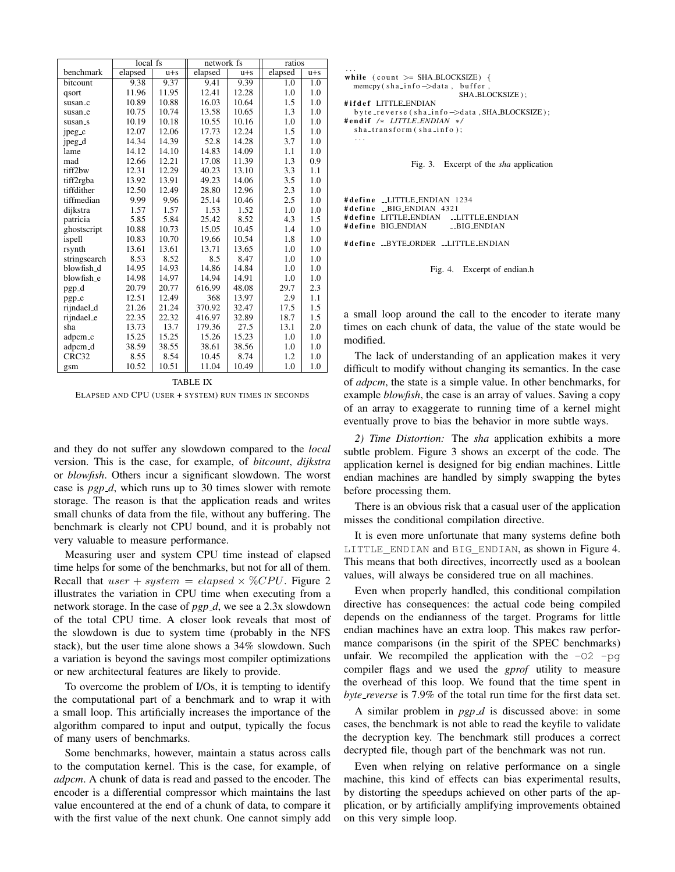|                    | $local$ fs |         | network fs |         | ratios  |         |
|--------------------|------------|---------|------------|---------|---------|---------|
| benchmark          | elapsed    | $u + s$ | elapsed    | $u + s$ | elapsed | $u + s$ |
| bitcount           | 9.38       | 9.37    | 9.41       | 9.39    | 1.0     | 1.0     |
| qsort              | 11.96      | 11.95   | 12.41      | 12.28   | 1.0     | 1.0     |
| susan_c            | 10.89      | 10.88   | 16.03      | 10.64   | 1.5     | 1.0     |
| susan_e            | 10.75      | 10.74   | 13.58      | 10.65   | 1.3     | 1.0     |
| susan_s            | 10.19      | 10.18   | 10.55      | 10.16   | 1.0     | 1.0     |
| jpeg_c             | 12.07      | 12.06   | 17.73      | 12.24   | 1.5     | 1.0     |
| jpeg <sub>-d</sub> | 14.34      | 14.39   | 52.8       | 14.28   | 3.7     | 1.0     |
| lame               | 14.12      | 14.10   | 14.83      | 14.09   | 1.1     | 1.0     |
| mad                | 12.66      | 12.21   | 17.08      | 11.39   | 1.3     | 0.9     |
| tiff2bw            | 12.31      | 12.29   | 40.23      | 13.10   | 3.3     | 1.1     |
| tiff2rgba          | 13.92      | 13.91   | 49.23      | 14.06   | 3.5     | 1.0     |
| tiffdither         | 12.50      | 12.49   | 28.80      | 12.96   | 2.3     | 1.0     |
| tiffmedian         | 9.99       | 9.96    | 25.14      | 10.46   | 2.5     | 1.0     |
| dijkstra           | 1.57       | 1.57    | 1.53       | 1.52    | 1.0     | 1.0     |
| patricia           | 5.85       | 5.84    | 25.42      | 8.52    | 4.3     | 1.5     |
| ghostscript        | 10.88      | 10.73   | 15.05      | 10.45   | 1.4     | 1.0     |
| ispell             | 10.83      | 10.70   | 19.66      | 10.54   | 1.8     | 1.0     |
| rsynth             | 13.61      | 13.61   | 13.71      | 13.65   | 1.0     | 1.0     |
| stringsearch       | 8.53       | 8.52    | 8.5        | 8.47    | 1.0     | 1.0     |
| blowfish_d         | 14.95      | 14.93   | 14.86      | 14.84   | 1.0     | 1.0     |
| blowfish_e         | 14.98      | 14.97   | 14.94      | 14.91   | 1.0     | 1.0     |
| pgp_d              | 20.79      | 20.77   | 616.99     | 48.08   | 29.7    | 2.3     |
| pgp_e              | 12.51      | 12.49   | 368        | 13.97   | 2.9     | 1.1     |
| rijndael_d         | 21.26      | 21.24   | 370.92     | 32.47   | 17.5    | 1.5     |
| rijndael_e         | 22.35      | 22.32   | 416.97     | 32.89   | 18.7    | 1.5     |
| sha                | 13.73      | 13.7    | 179.36     | 27.5    | 13.1    | 2.0     |
| adpcm_c            | 15.25      | 15.25   | 15.26      | 15.23   | 1.0     | 1.0     |
| adpcm_d            | 38.59      | 38.55   | 38.61      | 38.56   | 1.0     | 1.0     |
| CRC32              | 8.55       | 8.54    | 10.45      | 8.74    | 1.2     | 1.0     |
| gsm                | 10.52      | 10.51   | 11.04      | 10.49   | 1.0     | 1.0     |

TABLE IX ELAPSED AND CPU (USER + SYSTEM) RUN TIMES IN SECONDS

and they do not suffer any slowdown compared to the *local* version. This is the case, for example, of *bitcount*, *dijkstra* or *blowfish*. Others incur a significant slowdown. The worst case is *pgp\_d*, which runs up to 30 times slower with remote storage. The reason is that the application reads and writes small chunks of data from the file, without any buffering. The benchmark is clearly not CPU bound, and it is probably not very valuable to measure performance.

Measuring user and system CPU time instead of elapsed time helps for some of the benchmarks, but not for all of them. Recall that  $user + system = elapsed \times \%CPU$ . Figure 2 illustrates the variation in CPU time when executing from a network storage. In the case of *pgp d*, we see a 2.3x slowdown of the total CPU time. A closer look reveals that most of the slowdown is due to system time (probably in the NFS stack), but the user time alone shows a 34% slowdown. Such a variation is beyond the savings most compiler optimizations or new architectural features are likely to provide.

To overcome the problem of I/Os, it is tempting to identify the computational part of a benchmark and to wrap it with a small loop. This artificially increases the importance of the algorithm compared to input and output, typically the focus of many users of benchmarks.

Some benchmarks, however, maintain a status across calls to the computation kernel. This is the case, for example, of *adpcm*. A chunk of data is read and passed to the encoder. The encoder is a differential compressor which maintains the last value encountered at the end of a chunk of data, to compare it with the first value of the next chunk. One cannot simply add

```
. . .
while \text{(count} >= \text{SHA\_BLOCKSIZE}) {
  memcpy (sha_info ->data, buffer
                                SHA_BLOCKSIZE ) ;
#ifdef LITTLE ENDIAN
  b y t e _r e v e r s e ( s h a _i n f o ->d at a , SHA_BLOCKSIZE );
# e n di f /∗ LITTLE ENDIAN ∗/
  sha_transform (sha_info);
   . . .
```
Fig. 3. Excerpt of the *sha* application

#define \_\_LITTLE\_ENDIAN 1234 #define \_\_BIG\_ENDIAN 4321 # define LITTLE\_ENDIAN \_\_LITTLE\_ENDIAN<br># define BIG\_ENDIAN \_\_\_BIG\_ENDIAN #define BIG\_ENDIAN

#define \_\_BYTE\_ORDER \_\_LITTLE\_ENDIAN

Fig. 4. Excerpt of endian.h

a small loop around the call to the encoder to iterate many times on each chunk of data, the value of the state would be modified.

The lack of understanding of an application makes it very difficult to modify without changing its semantics. In the case of *adpcm*, the state is a simple value. In other benchmarks, for example *blowfish*, the case is an array of values. Saving a copy of an array to exaggerate to running time of a kernel might eventually prove to bias the behavior in more subtle ways.

*2) Time Distortion:* The *sha* application exhibits a more subtle problem. Figure 3 shows an excerpt of the code. The application kernel is designed for big endian machines. Little endian machines are handled by simply swapping the bytes before processing them.

There is an obvious risk that a casual user of the application misses the conditional compilation directive.

It is even more unfortunate that many systems define both LITTLE\_ENDIAN and BIG\_ENDIAN, as shown in Figure 4. This means that both directives, incorrectly used as a boolean values, will always be considered true on all machines.

Even when properly handled, this conditional compilation directive has consequences: the actual code being compiled depends on the endianness of the target. Programs for little endian machines have an extra loop. This makes raw performance comparisons (in the spirit of the SPEC benchmarks) unfair. We recompiled the application with the  $-\overline{O2}$  -pg compiler flags and we used the *gprof* utility to measure the overhead of this loop. We found that the time spent in *byte reverse* is 7.9% of the total run time for the first data set.

A similar problem in *pgp d* is discussed above: in some cases, the benchmark is not able to read the keyfile to validate the decryption key. The benchmark still produces a correct decrypted file, though part of the benchmark was not run.

Even when relying on relative performance on a single machine, this kind of effects can bias experimental results, by distorting the speedups achieved on other parts of the application, or by artificially amplifying improvements obtained on this very simple loop.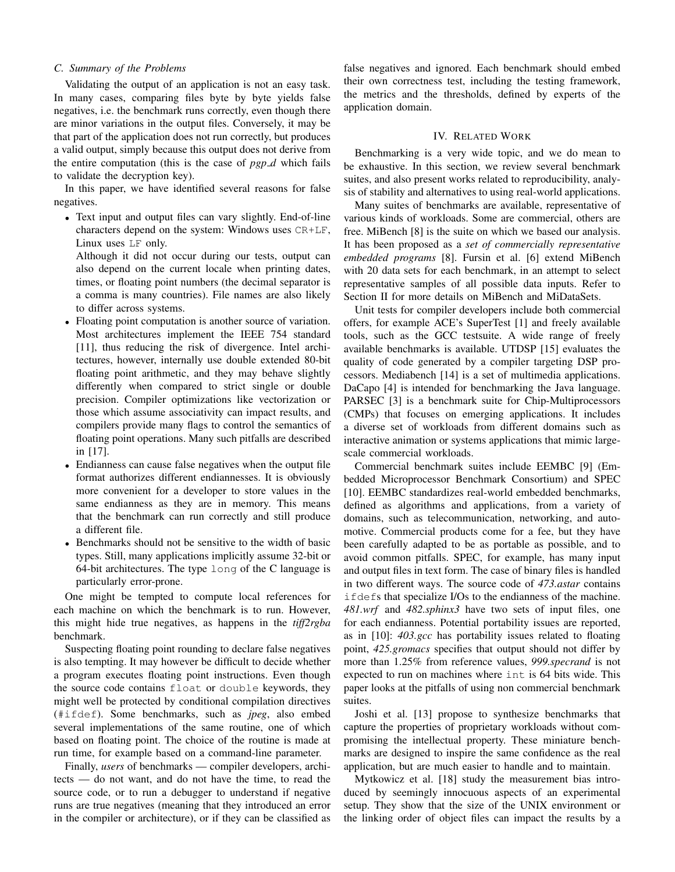#### *C. Summary of the Problems*

Validating the output of an application is not an easy task. In many cases, comparing files byte by byte yields false negatives, i.e. the benchmark runs correctly, even though there are minor variations in the output files. Conversely, it may be that part of the application does not run correctly, but produces a valid output, simply because this output does not derive from the entire computation (this is the case of  $pgp_d$  which fails to validate the decryption key).

In this paper, we have identified several reasons for false negatives.

• Text input and output files can vary slightly. End-of-line characters depend on the system: Windows uses CR+LF, Linux uses LF only.

Although it did not occur during our tests, output can also depend on the current locale when printing dates, times, or floating point numbers (the decimal separator is a comma is many countries). File names are also likely to differ across systems.

- Floating point computation is another source of variation. Most architectures implement the IEEE 754 standard [11], thus reducing the risk of divergence. Intel architectures, however, internally use double extended 80-bit floating point arithmetic, and they may behave slightly differently when compared to strict single or double precision. Compiler optimizations like vectorization or those which assume associativity can impact results, and compilers provide many flags to control the semantics of floating point operations. Many such pitfalls are described in [17].
- Endianness can cause false negatives when the output file format authorizes different endiannesses. It is obviously more convenient for a developer to store values in the same endianness as they are in memory. This means that the benchmark can run correctly and still produce a different file.
- Benchmarks should not be sensitive to the width of basic types. Still, many applications implicitly assume 32-bit or 64-bit architectures. The type long of the C language is particularly error-prone.

One might be tempted to compute local references for each machine on which the benchmark is to run. However, this might hide true negatives, as happens in the *tiff2rgba* benchmark.

Suspecting floating point rounding to declare false negatives is also tempting. It may however be difficult to decide whether a program executes floating point instructions. Even though the source code contains float or double keywords, they might well be protected by conditional compilation directives (#ifdef). Some benchmarks, such as *jpeg*, also embed several implementations of the same routine, one of which based on floating point. The choice of the routine is made at run time, for example based on a command-line parameter.

Finally, *users* of benchmarks — compiler developers, architects — do not want, and do not have the time, to read the source code, or to run a debugger to understand if negative runs are true negatives (meaning that they introduced an error in the compiler or architecture), or if they can be classified as

false negatives and ignored. Each benchmark should embed their own correctness test, including the testing framework, the metrics and the thresholds, defined by experts of the application domain.

#### IV. RELATED WORK

Benchmarking is a very wide topic, and we do mean to be exhaustive. In this section, we review several benchmark suites, and also present works related to reproducibility, analysis of stability and alternatives to using real-world applications.

Many suites of benchmarks are available, representative of various kinds of workloads. Some are commercial, others are free. MiBench [8] is the suite on which we based our analysis. It has been proposed as a *set of commercially representative embedded programs* [8]. Fursin et al. [6] extend MiBench with 20 data sets for each benchmark, in an attempt to select representative samples of all possible data inputs. Refer to Section II for more details on MiBench and MiDataSets.

Unit tests for compiler developers include both commercial offers, for example ACE's SuperTest [1] and freely available tools, such as the GCC testsuite. A wide range of freely available benchmarks is available. UTDSP [15] evaluates the quality of code generated by a compiler targeting DSP processors. Mediabench [14] is a set of multimedia applications. DaCapo [4] is intended for benchmarking the Java language. PARSEC [3] is a benchmark suite for Chip-Multiprocessors (CMPs) that focuses on emerging applications. It includes a diverse set of workloads from different domains such as interactive animation or systems applications that mimic largescale commercial workloads.

Commercial benchmark suites include EEMBC [9] (Embedded Microprocessor Benchmark Consortium) and SPEC [10]. EEMBC standardizes real-world embedded benchmarks, defined as algorithms and applications, from a variety of domains, such as telecommunication, networking, and automotive. Commercial products come for a fee, but they have been carefully adapted to be as portable as possible, and to avoid common pitfalls. SPEC, for example, has many input and output files in text form. The case of binary files is handled in two different ways. The source code of *473.astar* contains ifdefs that specialize I/Os to the endianness of the machine. *481.wrf* and *482.sphinx3* have two sets of input files, one for each endianness. Potential portability issues are reported, as in [10]: *403.gcc* has portability issues related to floating point, *425.gromacs* specifies that output should not differ by more than 1.25% from reference values, *999.specrand* is not expected to run on machines where int is 64 bits wide. This paper looks at the pitfalls of using non commercial benchmark suites.

Joshi et al. [13] propose to synthesize benchmarks that capture the properties of proprietary workloads without compromising the intellectual property. These miniature benchmarks are designed to inspire the same confidence as the real application, but are much easier to handle and to maintain.

Mytkowicz et al. [18] study the measurement bias introduced by seemingly innocuous aspects of an experimental setup. They show that the size of the UNIX environment or the linking order of object files can impact the results by a